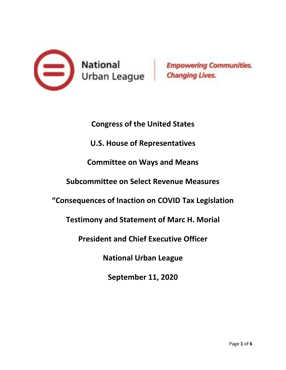

**Congress of the United States U.S. House of Representatives Committee on Ways and Means Subcommittee on Select Revenue Measures "Consequences of Inaction on COVID Tax Legislation Testimony and Statement of Marc H. Morial President and Chief Executive Officer National Urban League September 11, 2020**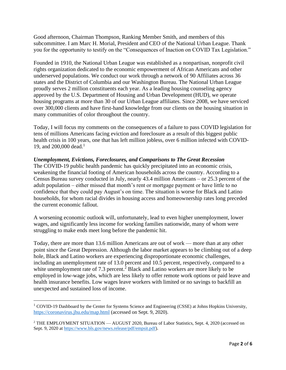Good afternoon, Chairman Thompson, Ranking Member Smith, and members of this subcommittee. I am Marc H. Morial, President and CEO of the National Urban League. Thank you for the opportunity to testify on the "Consequences of Inaction on COVID Tax Legislation."

Founded in 1910, the National Urban League was established as a nonpartisan, nonprofit civil rights organization dedicated to the economic empowerment of African Americans and other underserved populations. We conduct our work through a network of 90 Affiliates across 36 states and the District of Columbia and our Washington Bureau. The National Urban League proudly serves 2 million constituents each year. As a leading housing counseling agency approved by the U.S. Department of Housing and Urban Development (HUD), we operate housing programs at more than 30 of our Urban League affiliates. Since 2008, we have serviced over 300,000 clients and have first-hand knowledge from our clients on the housing situation in many communities of color throughout the country.

Today, I will focus my comments on the consequences of a failure to pass COVID legislation for tens of millions Americans facing eviction and foreclosure as a result of this biggest public health crisis in 100 years, one that has left million jobless, over 6 million infected with COVID-19, and 200,000 dead.<sup>1</sup>

### *Unemployment, Evictions, Foreclosures, and Comparisons to The Great Recession*

The COVID-19 public health pandemic has quickly precipitated into an economic crisis, weakening the financial footing of American households across the country. According to a Census Bureau survey conducted in July, nearly 43.4 million Americans – or 25.3 percent of the adult population – either missed that month's rent or mortgage payment or have little to no confidence that they could pay August's on time. The situation is worse for Black and Latino households, for whom racial divides in housing access and homeownership rates long preceded the current economic fallout.

A worsening economic outlook will, unfortunately, lead to even higher unemployment, lower wages, and significantly less income for working families nationwide, many of whom were struggling to make ends meet long before the pandemic hit.

Today, there are more than 13.6 million Americans are out of work — more than at any other point since the Great Depression. Although the labor market appears to be climbing out of a deep hole, Black and Latino workers are experiencing disproportionate economic challenges, including an unemployment rate of 13.0 percent and 10.5 percent, respectively, compared to a white unemployment rate of 7.3 percent.<sup>2</sup> Black and Latino workers are more likely to be employed in low-wage jobs, which are less likely to offer remote work options or paid leave and health insurance benefits. Low wages leave workers with limited or no savings to backfill an unexpected and sustained loss of income.

 $1$  COVID-19 Dashboard by the Center for Systems Science and Engineering (CSSE) at Johns Hopkins University, <https://coronavirus.jhu.edu/map.html> (accessed on Sept. 9, 2020).

<sup>&</sup>lt;sup>2</sup> THE EMPLOYMENT SITUATION — AUGUST 2020, Bureau of Labor Statistics, Sept. 4, 2020 (accessed on Sept. 9, 2020 at [https://www.bls.gov/news.release/pdf/empsit.pdf\)](https://www.bls.gov/news.release/pdf/empsit.pdf).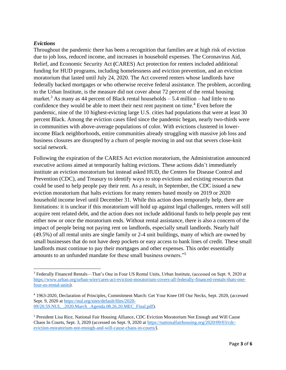### *Evictions*

Throughout the pandemic there has been a recognition that families are at high risk of eviction due to job loss, reduced income, and increases in household expenses. The Coronavirus Aid, Relief, and Economic Security Act **(**CARES) Act protection for renters included additional funding for HUD programs, including homelessness and eviction prevention, and an eviction moratorium that lasted until July 24, 2020. The Act covered renters whose landlords have federally backed mortgages or who otherwise receive federal assistance. The problem, according to the Urban Institute, is the measure did not cover about 72 percent of the rental housing market.<sup>3</sup> As many as 44 percent of Black rental households  $-5.4$  million  $-$  had little to no confidence they would be able to meet their next rent payment on time.<sup>4</sup> Even before the pandemic, nine of the 10 highest-evicting large U.S. cities had populations that were at least 30 percent Black. Among the eviction cases filed since the pandemic began, nearly two-thirds were in communities with above-average populations of color. With evictions clustered in lowerincome Black neighborhoods, entire communities already struggling with massive job loss and business closures are disrupted by a churn of people moving in and out that severs close-knit social network.

Following the expiration of the CARES Act eviction moratorium, the Administration announced executive actions aimed at temporarily halting evictions. These actions didn't immediately institute an eviction moratorium but instead asked HUD, the Centers for Disease Control and Prevention (CDC), and Treasury to identify ways to stop evictions and existing resources that could be used to help people pay their rent. As a result, in September, the CDC issued a new eviction moratorium that halts evictions for many renters based mostly on 2019 or 2020 household income level until December 31. While this action does temporarily help, there are limitations: it is unclear if this moratorium will hold up against legal challenges, renters will still acquire rent related debt, and the action does not include additional funds to help people pay rent either now or once the moratorium ends. Without rental assistance, there is also a concern of the impact of people being not paying rent on landlords, especially small landlords. Nearly half (49.5%) of all rental units are single family or 2-4 unit buildings, many of which are owned by small businesses that do not have deep pockets or easy access to bank lines of credit. These small landlords must continue to pay their mortgages and other expenses. This order essentially amounts to an unfunded mandate for these small business owners."<sup>5</sup>

<sup>3</sup> Federally Financed Rentals—That's One in Four US Rental Units, Urban Institute, (accessed on Sept. 9, 2020 at [https://www.urban.org/urban-wire/cares-act-eviction-moratorium-covers-all-federally-financed-rentals-thats-one](https://www.urban.org/urban-wire/cares-act-eviction-moratorium-covers-all-federally-financed-rentals-thats-one-four-us-rental-units)[four-us-rental-units\)](https://www.urban.org/urban-wire/cares-act-eviction-moratorium-covers-all-federally-financed-rentals-thats-one-four-us-rental-units).

<sup>4</sup> 1963-2020, Declaration of Principles, Commitment March: Get Your Knee Off Our Necks, Sept. 2020, (accessed Sept. 9, 2020 at [https://nul.org/sites/default/files/2020-](https://nul.org/sites/default/files/2020-09/20.59.NUL_.2020.March_.Agenda.08.26.20.MEC_Final.pdf) [09/20.59.NUL\\_.2020.March\\_.Agenda.08.26.20.MEC\\_Final.pdf\)](https://nul.org/sites/default/files/2020-09/20.59.NUL_.2020.March_.Agenda.08.26.20.MEC_Final.pdf).

<sup>5</sup> President Lisa Rice, National Fair Housing Alliance, CDC Eviction Moratorium Not Enough and Will Cause Chaos In Courts, Sept. 3, 2020 (accessed on Sept. 9, 2020 at [https://nationalfairhousing.org/2020/09/03/cdc](https://nationalfairhousing.org/2020/09/03/cdc-eviction-moratorium-not-enough-and-will-cause-chaos-in-courts/)[eviction-moratorium-not-enough-and-will-cause-chaos-in-courts/](https://nationalfairhousing.org/2020/09/03/cdc-eviction-moratorium-not-enough-and-will-cause-chaos-in-courts/)).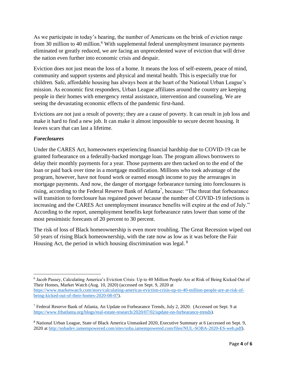As we participate in today's hearing, the number of Americans on the brink of eviction range from 30 million to 40 million.<sup>6</sup> With supplemental federal unemployment insurance payments eliminated or greatly reduced, we are facing an unprecedented wave of eviction that will drive the nation even further into economic crisis and despair.

Eviction does not just mean the loss of a home. It means the loss of self-esteem, peace of mind, community and support systems and physical and mental health. This is especially true for children. Safe, affordable housing has always been at the heart of the National Urban League's mission. As economic first responders, Urban League affiliates around the country are keeping people in their homes with emergency rental assistance, intervention and counseling. We are seeing the devastating economic effects of the pandemic first-hand.

Evictions are not just a result of poverty; they are a cause of poverty. It can result in job loss and make it hard to find a new job. It can make it almost impossible to secure decent housing. It leaves scars that can last a lifetime.

# *Foreclosures*

Under the CARES Act, homeowners experiencing financial hardship due to COVID-19 can be granted forbearance on a federally-backed mortgage loan. The program allows borrowers to delay their monthly payments for a year. Those payments are then tacked on to the end of the loan or paid back over time in a mortgage modification. Millions who took advantage of the program, however, have not found work or earned enough income to pay the arrearages in mortgage payments. And now, the danger of mortgage forbearance turning into foreclosures is rising, according to the Federal Reserve Bank of Atlanta<sup>7</sup>, because: "The threat that forbearance will transition to foreclosure has regained power because the number of COVID-19 infections is increasing and the CARES Act unemployment insurance benefits will expire at the end of July." According to the report, unemployment benefits kept forbearance rates lower than some of the most pessimistic forecasts of 20 percent to 30 percent.

The risk of loss of Black homeownership is even more troubling. The Great Recession wiped out 50 years of rising Black homeownership, with the rate now as low as it was before the Fair Housing Act, the period in which housing discrimination was legal.  $8$ 

<sup>6</sup> Jacob Passey, Calculating America's Eviction Crisis: Up to 40 Million People Are at Risk of Being Kicked Out of Their Homes, Market Watch (Aug. 10, 2020) (accessed on Sept. 9, 2020 at [https://www.marketwatch.com/story/calculating-americas-eviction-crisis-up-to-40-million-people-are-at-risk-of](https://www.marketwatch.com/story/calculating-americas-eviction-crisis-up-to-40-million-people-are-at-risk-of-being-kicked-out-of-their-homes-2020-08-07)[being-kicked-out-of-their-homes-2020-08-07\)](https://www.marketwatch.com/story/calculating-americas-eviction-crisis-up-to-40-million-people-are-at-risk-of-being-kicked-out-of-their-homes-2020-08-07).

<sup>7</sup> Federal Reserve Bank of Atlanta, An Update on Forbearance Trends, July 2, 2020. (Accessed on Sept. 9 at [https://www.frbatlanta.org/blogs/real-estate-research/2020/07/02/update-on-forbearance-trends\)](https://www.frbatlanta.org/blogs/real-estate-research/2020/07/02/update-on-forbearance-trends).

<sup>8</sup> National Urban League, State of Black America Unmasked 2020, Executive Summary at 6 (accessed on Sept. 9, 2020 at [http://sobadev.iamempowered.com/sites/soba.iamempowered.com/files/NUL-SOBA-2020-ES-web.pdf\)](http://sobadev.iamempowered.com/sites/soba.iamempowered.com/files/NUL-SOBA-2020-ES-web.pdf).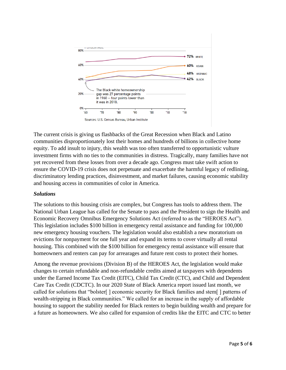

The current crisis is giving us flashbacks of the Great Recession when Black and Latino communities disproportionately lost their homes and hundreds of billions in collective home equity. To add insult to injury, this wealth was too often transferred to opportunistic vulture investment firms with no ties to the communities in distress. Tragically, many families have not yet recovered from these losses from over a decade ago. Congress must take swift action to ensure the COVID-19 crisis does not perpetuate and exacerbate the harmful legacy of redlining, discriminatory lending practices, disinvestment, and market failures, causing economic stability and housing access in communities of color in America.

#### *Solutions*

The solutions to this housing crisis are complex, but Congress has tools to address them. The National Urban League has called for the Senate to pass and the President to sign the Health and Economic Recovery Omnibus Emergency Solutions Act (referred to as the "HEROES Act"). This legislation includes \$100 billion in emergency rental assistance and funding for 100,000 new emergency housing vouchers. The legislation would also establish a new moratorium on evictions for nonpayment for one full year and expand its terms to cover virtually all rental housing. This combined with the \$100 billion for emergency rental assistance will ensure that homeowners and renters can pay for arrearages and future rent costs to protect their homes.

Among the revenue provisions (Division B) of the HEROES Act, the legislation would make changes to certain refundable and non-refundable credits aimed at taxpayers with dependents under the Earned Income Tax Credit (EITC), Child Tax Credit (CTC), and Child and Dependent Care Tax Credit (CDCTC). In our 2020 State of Black America report issued last month, we called for solutions that "bolster[ ] economic security for Black families and stem[ ] patterns of wealth-stripping in Black communities." We called for an increase in the supply of affordable housing to support the stability needed for Black renters to begin building wealth and prepare for a future as homeowners. We also called for expansion of credits like the EITC and CTC to better